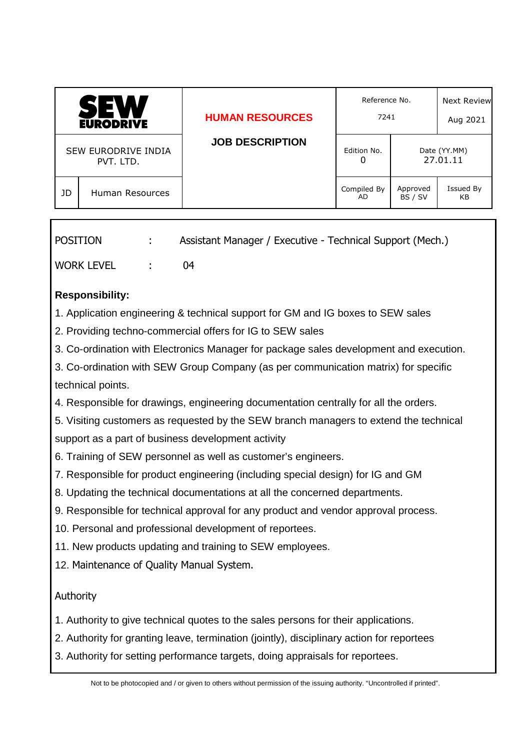| <b>JOB DESCRIPTION</b><br>SEW EURODRIVE INDIA<br>Edition No.<br>Date (YY.MM)<br>27.01.11<br>O<br>PVT. LTD. | <b>SEW</b><br><b>EURODRIVE</b> |  | <b>HUMAN RESOURCES</b> | Reference No.<br>7241 |  | <b>Next Review</b><br>Aug 2021 |
|------------------------------------------------------------------------------------------------------------|--------------------------------|--|------------------------|-----------------------|--|--------------------------------|
|                                                                                                            |                                |  |                        |                       |  |                                |
| Approved<br>Compiled By<br>JD<br>Human Resources<br>BS / SV<br>AD.                                         |                                |  |                        |                       |  | <b>Issued By</b><br>KB.        |

| POSITION     | Assistant Manager / Executive - Technical Support (Mech.) |
|--------------|-----------------------------------------------------------|
| WORK LEVEL : | $^{11}$                                                   |

## **Responsibility:**

- 1. Application engineering & technical support for GM and IG boxes to SEW sales
- 2. Providing techno-commercial offers for IG to SEW sales
- 3. Co-ordination with Electronics Manager for package sales development and execution.
- 3. Co-ordination with SEW Group Company (as per communication matrix) for specific technical points.
- 4. Responsible for drawings, engineering documentation centrally for all the orders.
- 5. Visiting customers as requested by the SEW branch managers to extend the technical support as a part of business development activity
- 6. Training of SEW personnel as well as customer's engineers.
- 7. Responsible for product engineering (including special design) for IG and GM
- 8. Updating the technical documentations at all the concerned departments.
- 9. Responsible for technical approval for any product and vendor approval process.
- 10. Personal and professional development of reportees.
- 11. New products updating and training to SEW employees.
- 12. Maintenance of Quality Manual System.

## **Authority**

- 1. Authority to give technical quotes to the sales persons for their applications.
- 2. Authority for granting leave, termination (jointly), disciplinary action for reportees
- 3. Authority for setting performance targets, doing appraisals for reportees.